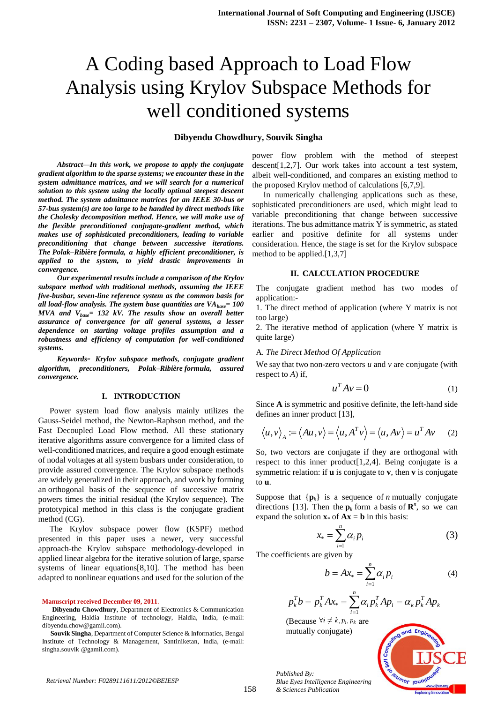# A Coding based Approach to Load Flow Analysis using Krylov Subspace Methods for well conditioned systems

# **Dibyendu Chowdhury, Souvik Singha**

*Abstract—In this work, we propose to apply the conjugate gradient algorithm to the sparse systems; we encounter these in the system admittance matrices, and we will search for a numerical solution to this system using the locally optimal steepest descent method. The system admittance matrices for an IEEE 30-bus or 57-bus system(s) are too large to be handled by direct methods like the Cholesky decomposition method. Hence, we will make use of the flexible preconditioned conjugate-gradient method, which makes use of sophisticated preconditioners, leading to variable preconditioning that change between successive iterations. The Polak–Ribière formula, a highly efficient preconditioner, is applied to the system, to yield drastic improvements in convergence.*

*Our experimental results include a comparison of the Krylov subspace method with traditional methods, assuming the IEEE five-busbar, seven-line reference system as the common basis for all load-flow analysis. The system base quantities are VAbase= 100 MVA and Vbase= 132 kV. The results show an overall better assurance of convergence for all general systems, a lesser dependence on starting voltage profiles assumption and a robustness and efficiency of computation for well-conditioned systems.*

*Keywords- Krylov subspace methods, conjugate gradient algorithm, preconditioners, Polak–Ribière formula, assured convergence.*

## **I. INTRODUCTION**

Power system load flow analysis mainly utilizes the Gauss-Seidel method, the Newton-Raphson method, and the Fast Decoupled Load Flow method. All these stationary iterative algorithms assure convergence for a limited class of well-conditioned matrices, and require a good enough estimate of nodal voltages at all system busbars under consideration, to provide assured convergence. The Krylov subspace methods are widely generalized in their approach, and work by forming an orthogonal basis of the sequence of successive matrix powers times the initial residual (the Krylov sequence). The prototypical method in this class is the conjugate gradient method (CG).

The Krylov subspace power flow (KSPF) method presented in this paper uses a newer, very successful approach-the Krylov subspace methodology-developed in applied linear algebra for the iterative solution of large, sparse systems of linear equations[8,10]. The method has been adapted to nonlinear equations and used for the solution of the

#### **Manuscript received December 09, 2011**.

**Dibyendu Chowdhury**, Department of Electronics & Communication Engineering, Haldia Institute of technology, Haldia, India, (e-mail: dibyendu.chow@gamil.com).

**Souvik Singha**, Department of Computer Science & Informatics, Bengal Institute of Technology & Management, Santiniketan, India, (e-mail: singha.souvik @gamil.com).

power flow problem with the method of steepest descent[1,2,7]. Our work takes into account a test system, albeit well-conditioned, and compares an existing method to the proposed Krylov method of calculations [6,7,9].

In numerically challenging applications such as these, sophisticated preconditioners are used, which might lead to variable preconditioning that change between successive iterations. The bus admittance matrix Y is symmetric, as stated earlier and positive definite for all systems under consideration. Hence, the stage is set for the Krylov subspace method to be applied.[1,3,7]

## **II. CALCULATION PROCEDURE**

The conjugate gradient method has two modes of application:-

1. The direct method of application (where Y matrix is not too large)

2. The iterative method of application (where Y matrix is quite large)

# A. *The Direct Method Of Application*

We say that two non-zero vectors *u* and *v* are conjugate (with respect to *A*) if,

$$
u^T A v = 0 \tag{1}
$$

Since **A** is symmetric and positive definite, the left-hand side defines an inner product [13],

$$
\langle u, v \rangle_A := \langle Au, v \rangle = \langle u, A^T v \rangle = \langle u, Av \rangle = u^T A v \qquad (2)
$$

So, two vectors are conjugate if they are orthogonal with respect to this inner product[1,2,4]. Being conjugate is a symmetric relation: if **u** is conjugate to **v**, then **v** is conjugate to **u**.

Suppose that  $\{p_k\}$  is a sequence of *n* mutually conjugate directions [13]. Then the  $\mathbf{p}_k$  form a basis of  $\mathbf{R}^n$ , so we can expand the solution  $\mathbf{x} * \text{ of } \mathbf{A}\mathbf{x} = \mathbf{b}$  in this basis:

$$
x_* = \sum_{i=1}^n \alpha_i p_i \tag{3}
$$

The coefficients are given by

$$
b = Ax_* = \sum_{i=1}^{n} \alpha_i p_i \tag{4}
$$

$$
p_k^T b = p_k^T A x_* = \sum_{i=1}^n \alpha_i p_k^T A p_i = \alpha_k p_k^T A p_k
$$

(Because  $\forall i \neq k, p_i, p_k$  are mutually conjugate)



*Published By: Blue Eyes Intelligence Engineering & Sciences Publication*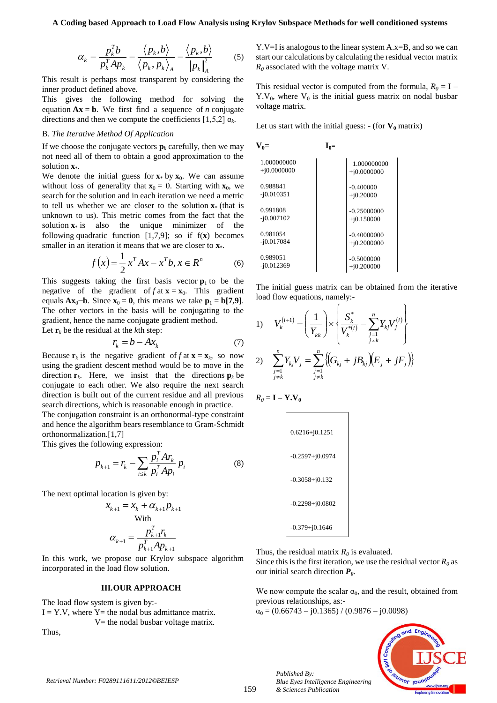$$
\alpha_{k} = \frac{p_{k}^{T} b}{p_{k}^{T} A p_{k}} = \frac{\langle p_{k}, b \rangle}{\langle p_{k}, p_{k} \rangle_{A}} = \frac{\langle p_{k}, b \rangle}{\left\| p_{k} \right\|_{A}^{2}}
$$
(5)

This result is perhaps most transparent by considering the inner product defined above.

This gives the following method for solving the equation  $Ax = b$ . We first find a sequence of *n* conjugate directions and then we compute the coefficients  $[1,5,2]$   $\alpha_k$ .

# B. *The Iterative Method Of Application*

If we choose the conjugate vectors  $\mathbf{p}_k$  carefully, then we may not need all of them to obtain a good approximation to the solution **x**\*.

We denote the initial guess for  $\mathbf{x}^*$  by  $\mathbf{x}_0$ . We can assume without loss of generality that  $\mathbf{x}_0 = 0$ . Starting with  $\mathbf{x}_0$ , we search for the solution and in each iteration we need a metric to tell us whether we are closer to the solution **x**\* (that is unknown to us). This metric comes from the fact that the solution  $\mathbf{x}$ <sup>\*</sup> is also the unique minimizer of the following quadratic function [1,7,9]; so if f(**x**) becomes smaller in an iteration it means that we are closer to  $\mathbf{x}^*$ .

$$
f(x) = \frac{1}{2}x^T A x - x^T b, x \in R^n
$$
 (6)

This suggests taking the first basis vector  $\mathbf{p}_1$  to be the negative of the gradient of  $f$  at  $\mathbf{x} = \mathbf{x}_0$ . This gradient equals  $\mathbf{Ax}_0$ −**b**. Since  $\mathbf{x}_0 = \mathbf{0}$ , this means we take  $\mathbf{p}_1 = \mathbf{b}[7, 9]$ . The other vectors in the basis will be conjugating to the gradient, hence the name conjugate gradient method. Let  $\mathbf{r}_k$  be the residual at the *k*th step:

$$
r_k = b - Ax_k \tag{7}
$$

Because  $\mathbf{r}_k$  is the negative gradient of  $f$  at  $\mathbf{x} = \mathbf{x}_k$ , so now using the gradient descent method would be to move in the direction  $\mathbf{r}_k$ . Here, we insist that the directions  $\mathbf{p}_k$  be conjugate to each other. We also require the next search direction is built out of the current residue and all previous search directions, which is reasonable enough in practice.

The conjugation constraint is an orthonormal-type constraint and hence the algorithm bears resemblance to Gram-Schmidt orthonormalization.[1,7]

This gives the following expression:

$$
p_{k+1} = r_k - \sum_{i \le k} \frac{p_i^T A r_k}{p_i^T A p_i} p_i \tag{8}
$$

The next optimal location is given by:

$$
x_{k+1} = x_k + \alpha_{k+1} p_{k+1}
$$
  
With  

$$
\alpha_{k+1} = \frac{p_{k+1}^T r_k}{p_{k+1}^T A p_{k+1}}
$$

In this work, we propose our Krylov subspace algorithm incorporated in the load flow solution.

# **III.OUR APPROACH**

The load flow system is given by:-

 $I = Y.V$ , where  $Y=$  the nodal bus admittance matrix.  $V=$  the nodal busbar voltage matrix.

Thus,

Y.V=I is analogous to the linear system A.x=B, and so we can start our calculations by calculating the residual vector matrix *R<sup>0</sup>* associated with the voltage matrix V.

This residual vector is computed from the formula,  $R_0 = I Y.V<sub>0</sub>$ , where  $V<sub>0</sub>$  is the initial guess matrix on nodal busbar voltage matrix.

Let us start with the initial guess:  $-$  (for  $V_0$  matrix)

 $V_0 =$  **I**<sub>0</sub>=

| 1.000000000   | 1.000000000   |
|---------------|---------------|
| $+i0.0000000$ | $+i0.0000000$ |
| 0.988841      | $-0.400000$   |
| $-i0.010351$  | $+i0.20000$   |
| 0.991808      | $-0.25000000$ |
| $-i0.007102$  | $+i0.150000$  |
| 0.981054      | $-0.40000000$ |
| $-i0.017084$  | $+i0.2000000$ |
| 0.989051      | $-0.5000000$  |
| $-i0.012369$  | $+i0.200000$  |

The initial guess matrix can be obtained from the iterative load flow equations, namely:-

1) 
$$
V_k^{(i+1)} = \left(\frac{1}{Y_{kk}}\right) \times \left\{\frac{S_k^*}{V_k^{*(i)}} - \sum_{\substack{j=1 \ j \neq k}}^n Y_{kj} V_j^{(i)}\right\}
$$
  
2) 
$$
\sum_{\substack{j=1 \ j \neq k}}^n Y_{kj} V_j = \sum_{\substack{j=1 \ j \neq k}}^n \left\{ \left(G_{kj} + jB_{kj}\right) \left(E_j + jF_j\right) \right\}
$$

$$
R_0 = \mathbf{I} - \mathbf{Y}.\mathbf{V}_0
$$

| $0.6216 + j0.1251$  |
|---------------------|
| $-0.2597 + j0.0974$ |
| $-0.3058 + j0.132$  |
| $-0.2298 + j0.0802$ |
| $-0.379 + j0.1646$  |

Thus, the residual matrix  $R_0$  is evaluated.

Since this is the first iteration, we use the residual vector  $R_0$  as our initial search direction *P0*.

We now compute the scalar  $\alpha_0$ , and the result, obtained from previous relationships, as:-

 $\alpha_0 = (0.66743 - j0.1365) / (0.9876 - j0.0098)$ 

*Blue Eyes Intelligence Engineering* 

*Published By:*

*& Sciences Publication* 

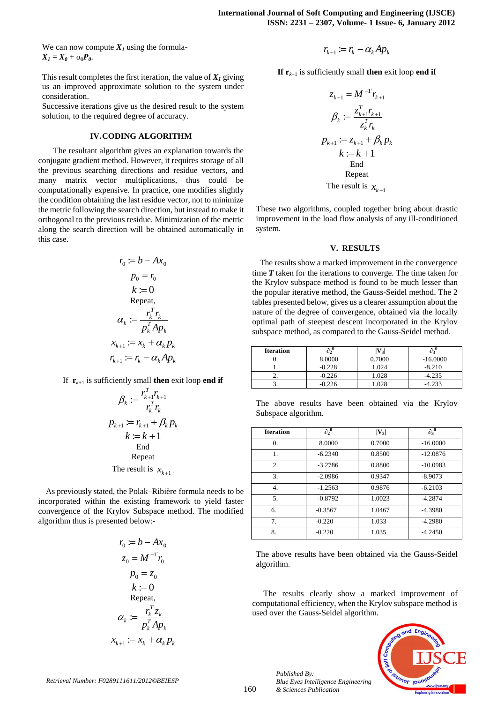We can now compute  $X_I$  using the formula- $X_I = X_0 + \alpha_0 P_0.$ 

This result completes the first iteration, the value of  $X<sub>I</sub>$  giving us an improved approximate solution to the system under consideration.

Successive iterations give us the desired result to the system solution, to the required degree of accuracy.

# **IV.CODING ALGORITHM**

The resultant algorithm gives an explanation towards the conjugate gradient method. However, it requires storage of all the previous searching directions and residue vectors, and many matrix vector multiplications, thus could be computationally expensive. In practice, one modifies slightly the condition obtaining the last residue vector, not to minimize the metric following the search direction, but instead to make it orthogonal to the previous residue. Minimization of the metric along the search direction will be obtained automatically in this case.

$$
r_0 := b - Ax_0
$$
  
\n
$$
p_0 = r_0
$$
  
\n
$$
k := 0
$$
  
\nRepeat,  
\n
$$
\alpha_k := \frac{r_k^T r_k}{p_k^T A p_k}
$$
  
\n
$$
x_{k+1} := x_k + \alpha_k p_k
$$
  
\n
$$
r_{k+1} := r_k - \alpha_k A p_k
$$

If  $\mathbf{r}_{k+1}$  is sufficiently small **then** exit loop **end if** 

$$
\beta_k := \frac{r_{k+1}^T r_{k+1}}{r_k^T r_k}
$$
  
\n
$$
p_{k+1} := r_{k+1} + \beta_k p_k
$$
  
\n
$$
k := k + 1
$$
  
\nEnd  
\nRepeat  
\nThe result is  $x_{k+1}$ .

As previously stated, the Polak–Ribière formula needs to be incorporated within the existing framework to yield faster convergence of the Krylov Subspace method. The modified algorithm thus is presented below:-

$$
r_0 := b - Ax_0
$$
  
\n
$$
z_0 = M^{-1}r_0
$$
  
\n
$$
p_0 = z_0
$$
  
\n
$$
k := 0
$$
  
\nRepeat,  
\n
$$
\alpha_k := \frac{r_k^T z_k}{p_k^T A p_k}
$$
  
\n
$$
x_{k+1} := x_k + \alpha_k p_k
$$

$$
r_{k+1} := r_k - \alpha_k A p_k
$$

**If**  ${\bf r}_{k+1}$  is sufficiently small **then** exit loop **end if** 

$$
z_{k+1} = M^{-1}r_{k+1}
$$
  
\n
$$
\beta_k := \frac{z_{k+1}^T r_{k+1}}{z_k^T r_k}
$$
  
\n
$$
p_{k+1} := z_{k+1} + \beta_k p_k
$$
  
\n
$$
k := k + 1
$$
  
\nEnd  
\nRepeat  
\nThe result is  $x_{k+1}$ 

These two algorithms, coupled together bring about drastic improvement in the load flow analysis of any ill-conditioned system.

## **V. RESULTS**

The results show a marked improvement in the convergence time *T* taken for the iterations to converge. The time taken for the Krylov subspace method is found to be much lesser than the popular iterative method, the Gauss-Seidel method. The 2 tables presented below, gives us a clearer assumption about the nature of the degree of convergence, obtained via the locally optimal path of steepest descent incorporated in the Krylov subspace method, as compared to the Gauss-Seidel method.

| <b>Iteration</b> |          | $'$ 31 |            |
|------------------|----------|--------|------------|
|                  | 8.0000   | 0.7000 | $-16.0000$ |
|                  | $-0.228$ | 1.024  | $-8.210$   |
|                  | $-0.226$ | 1.028  | $-4.235$   |
| ້.               | $-0.226$ | .028   |            |

The above results have been obtained via the Krylov Subspace algorithm.

| <b>Iteration</b> | $\partial_2^0$ | $ V_3 $ | $\overline{\partial_3}^0$ |
|------------------|----------------|---------|---------------------------|
| $\theta$ .       | 8.0000         | 0.7000  | $-16,0000$                |
| 1.               | $-6.2340$      | 0.8500  | $-12.0876$                |
| $\overline{2}$ . | $-3.2786$      | 0.8800  | $-10.0983$                |
| 3.               | $-2.0986$      | 0.9347  | $-8.9073$                 |
| 4.               | $-1.2563$      | 0.9876  | $-6.2103$                 |
| 5.               | $-0.8792$      | 1.0023  | $-4.2874$                 |
| 6.               | $-0.3567$      | 1.0467  | $-4.3980$                 |
| 7.               | $-0.220$       | 1.033   | $-4.2980$                 |
| 8.               | $-0.220$       | 1.035   | $-4.2450$                 |

The above results have been obtained via the Gauss-Seidel algorithm.

The results clearly show a marked improvement of computational efficiency, when the Krylov subspace method is used over the Gauss-Seidel algorithm.



*Retrieval Number: F0289111611/2012©BEIESP*

*Published By:*

*& Sciences Publication* 

*Blue Eyes Intelligence Engineering*